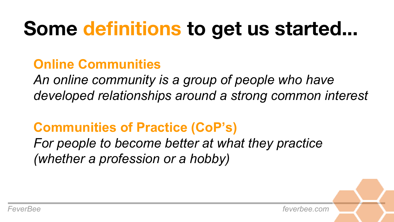## **Some definitions to get us started...**

### **Online Communities**

*An online community is a group of people who have developed relationships around a strong common interest* 

### **Communities of Practice (CoP's)**

*For people to become better at what they practice (whether a profession or a hobby)*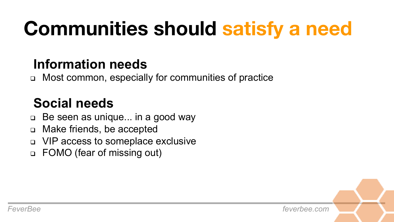# **Communities should satisfy a need**

#### **Information needs**

<sup>q</sup> Most common, especially for communities of practice

### **Social needs**

- $\Box$  Be seen as unique... in a good way
- <sup>q</sup> Make friends, be accepted
- <sup>q</sup> VIP access to someplace exclusive
- <sup>q</sup> FOMO (fear of missing out)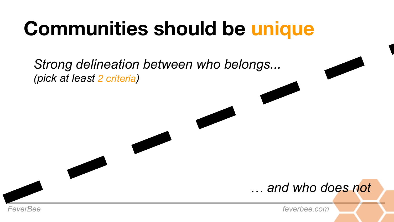## **Communities should be unique**

*Strong delineation between who belongs... (pick at least 2 criteria)*

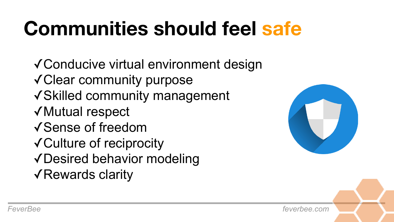# **Communities should feel safe**

✓Conducive virtual environment design ✓Clear community purpose ✓Skilled community management ✓Mutual respect ✓Sense of freedom ✓Culture of reciprocity ✓Desired behavior modeling ✓Rewards clarity

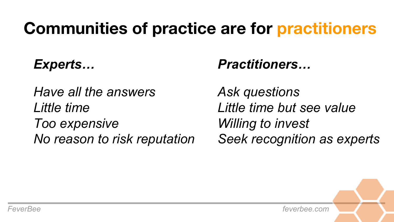### **Communities of practice are for practitioners**

### *Experts…*

*Have all the answers Little time Too expensive No reason to risk reputation* 

#### *Practitioners…*

*Ask questions Little time but see value Willing to invest Seek recognition as experts* 

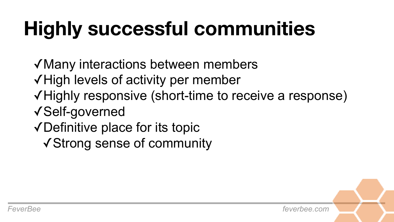# **Highly successful communities**

✓Many interactions between members ✓High levels of activity per member ✓Highly responsive (short-time to receive a response) ✓Self-governed ✓Definitive place for its topic

✓Strong sense of community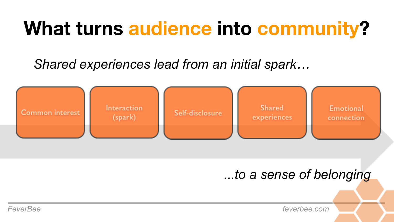### **What turns audience into community?**

*Shared experiences lead from an initial spark…*